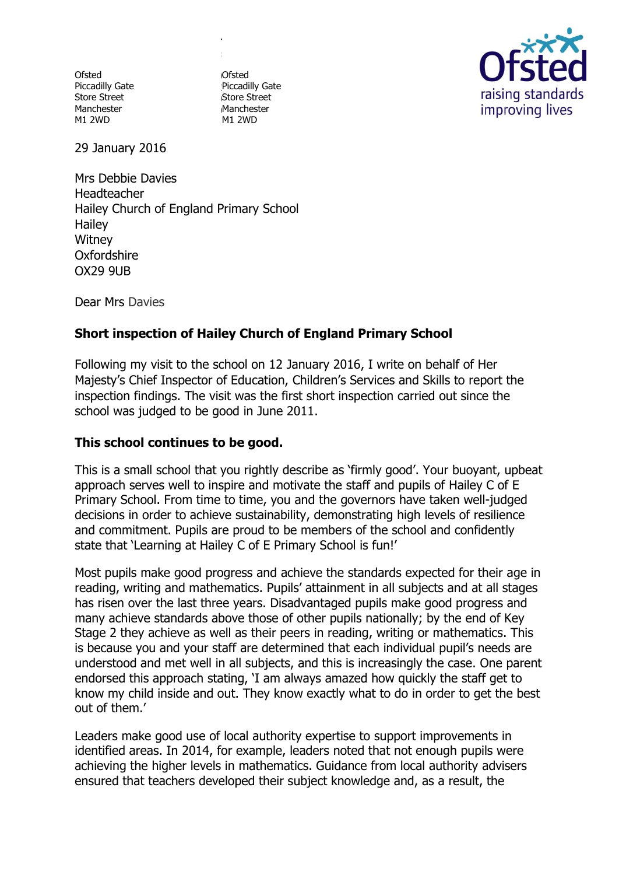**Ofsted** Piccadilly Gate Store Street Manchester M1 2WD

0 Ofsted 3 Piccadilly Gate 0 Store Street 0 Manchester M1 2WD

**T :**



29 January 2016

Mrs Debbie Davies Headteacher Hailey Church of England Primary School 3 **Hailey Witney Oxfordshire** OX29 9UB  $\overline{\phantom{a}}$ 

Dear Mrs Davies

# **Short inspection of Hailey Church of England Primary School** :

Following my visit to the school on 12 January 2016, I write on behalf of Her Majesty's Chief Inspector of Education, Children's Services and Skills to report the 1 inspection findings. The visit was the first short inspection carried out since the school was judged to be good in June 2011. 6 اب  $\cup$ 

## **This school continues to be good.**  8

This is a small school that you rightly describe as 'firmly good'. Your buoyant, upbeat 5 approach serves well to inspire and motivate the staff and pupils of Hailey C of E 4 Primary School. From time to time, you and the governors have taken well-judged e decisions in order to achieve sustainability, demonstrating high levels of resilience and commitment. Pupils are proud to be members of the school and confidently q state that 'Learning at Hailey C of E Primary School is fun!' y i

Most pupils make good progress and achieve the standards expected for their age in i reading, writing and mathematics. Pupils' attainment in all subjects and at all stages receiving, in this grad measurement of the product and the land series and complete the construction of the last three years. Disadvantaged pupils make good progress and many achieve standards above those of other pupils nationally; by the end of Key o Stage 2 they achieve as well as their peers in reading, writing or mathematics. This If the state we have the most contribute that the state of the maintenance of the state of the state is the because you and your staff are determined that each individual pupil's needs are understood and met well in all subjects, and this is increasingly the case. One parent endorsed this approach stating, 'I am always amazed how quickly the staff get to know my child inside and out. They know exactly what to do in order to get the best . out of them.'  $\overline{a}$  $\cdot$ g

Leaders make good use of local authority expertise to support improvements in . identified areas. In 2014, for example, leaders noted that not enough pupils were u achieving the higher levels in mathematics. Guidance from local authority advisers ensured that teachers developed their subject knowledge and, as a result, the  $\mathsf{C}$ w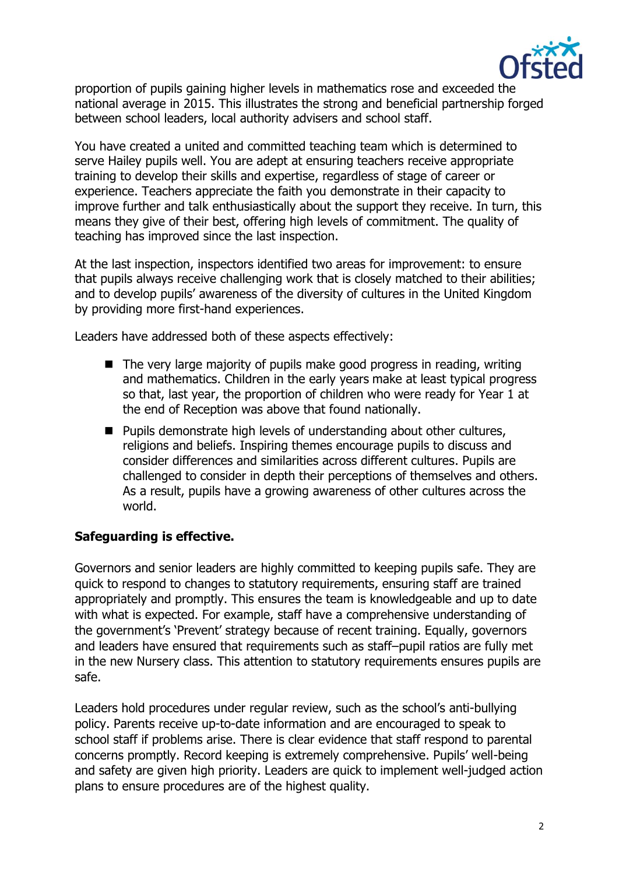

proportion of pupils gaining higher levels in mathematics rose and exceeded the national average in 2015. This illustrates the strong and beneficial partnership forged between school leaders, local authority advisers and school staff.

You have created a united and committed teaching team which is determined to serve Hailey pupils well. You are adept at ensuring teachers receive appropriate training to develop their skills and expertise, regardless of stage of career or experience. Teachers appreciate the faith you demonstrate in their capacity to improve further and talk enthusiastically about the support they receive. In turn, this means they give of their best, offering high levels of commitment. The quality of teaching has improved since the last inspection.

At the last inspection, inspectors identified two areas for improvement: to ensure that pupils always receive challenging work that is closely matched to their abilities; and to develop pupils' awareness of the diversity of cultures in the United Kingdom by providing more first-hand experiences.

Leaders have addressed both of these aspects effectively:

- $\blacksquare$  The very large majority of pupils make good progress in reading, writing and mathematics. Children in the early years make at least typical progress so that, last year, the proportion of children who were ready for Year 1 at the end of Reception was above that found nationally.
- Pupils demonstrate high levels of understanding about other cultures, religions and beliefs. Inspiring themes encourage pupils to discuss and consider differences and similarities across different cultures. Pupils are challenged to consider in depth their perceptions of themselves and others. As a result, pupils have a growing awareness of other cultures across the world.

### **Safeguarding is effective.**

Governors and senior leaders are highly committed to keeping pupils safe. They are quick to respond to changes to statutory requirements, ensuring staff are trained appropriately and promptly. This ensures the team is knowledgeable and up to date with what is expected. For example, staff have a comprehensive understanding of the government's 'Prevent' strategy because of recent training. Equally, governors and leaders have ensured that requirements such as staff–pupil ratios are fully met in the new Nursery class. This attention to statutory requirements ensures pupils are safe.

Leaders hold procedures under regular review, such as the school's anti-bullying policy. Parents receive up-to-date information and are encouraged to speak to school staff if problems arise. There is clear evidence that staff respond to parental concerns promptly. Record keeping is extremely comprehensive. Pupils' well-being and safety are given high priority. Leaders are quick to implement well-judged action plans to ensure procedures are of the highest quality.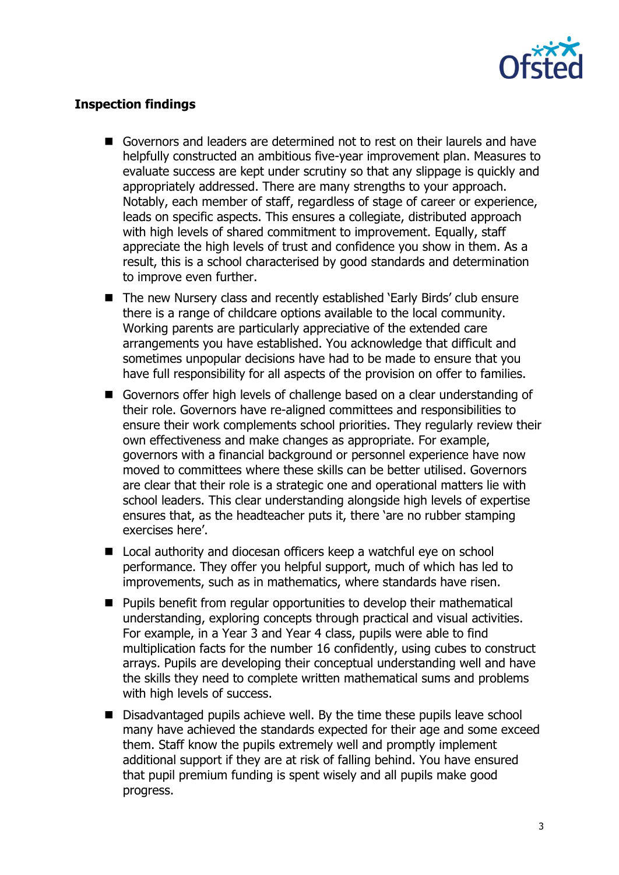

#### **Inspection findings**

- Governors and leaders are determined not to rest on their laurels and have helpfully constructed an ambitious five-year improvement plan. Measures to evaluate success are kept under scrutiny so that any slippage is quickly and appropriately addressed. There are many strengths to your approach. Notably, each member of staff, regardless of stage of career or experience, leads on specific aspects. This ensures a collegiate, distributed approach with high levels of shared commitment to improvement. Equally, staff appreciate the high levels of trust and confidence you show in them. As a result, this is a school characterised by good standards and determination to improve even further.
- The new Nursery class and recently established 'Early Birds' club ensure there is a range of childcare options available to the local community. Working parents are particularly appreciative of the extended care arrangements you have established. You acknowledge that difficult and sometimes unpopular decisions have had to be made to ensure that you have full responsibility for all aspects of the provision on offer to families.
- Governors offer high levels of challenge based on a clear understanding of their role. Governors have re-aligned committees and responsibilities to ensure their work complements school priorities. They regularly review their own effectiveness and make changes as appropriate. For example, governors with a financial background or personnel experience have now moved to committees where these skills can be better utilised. Governors are clear that their role is a strategic one and operational matters lie with school leaders. This clear understanding alongside high levels of expertise ensures that, as the headteacher puts it, there 'are no rubber stamping exercises here'.
- Local authority and diocesan officers keep a watchful eye on school performance. They offer you helpful support, much of which has led to improvements, such as in mathematics, where standards have risen.
- Pupils benefit from regular opportunities to develop their mathematical understanding, exploring concepts through practical and visual activities. For example, in a Year 3 and Year 4 class, pupils were able to find multiplication facts for the number 16 confidently, using cubes to construct arrays. Pupils are developing their conceptual understanding well and have the skills they need to complete written mathematical sums and problems with high levels of success.
- $\blacksquare$  Disadvantaged pupils achieve well. By the time these pupils leave school many have achieved the standards expected for their age and some exceed them. Staff know the pupils extremely well and promptly implement additional support if they are at risk of falling behind. You have ensured that pupil premium funding is spent wisely and all pupils make good progress.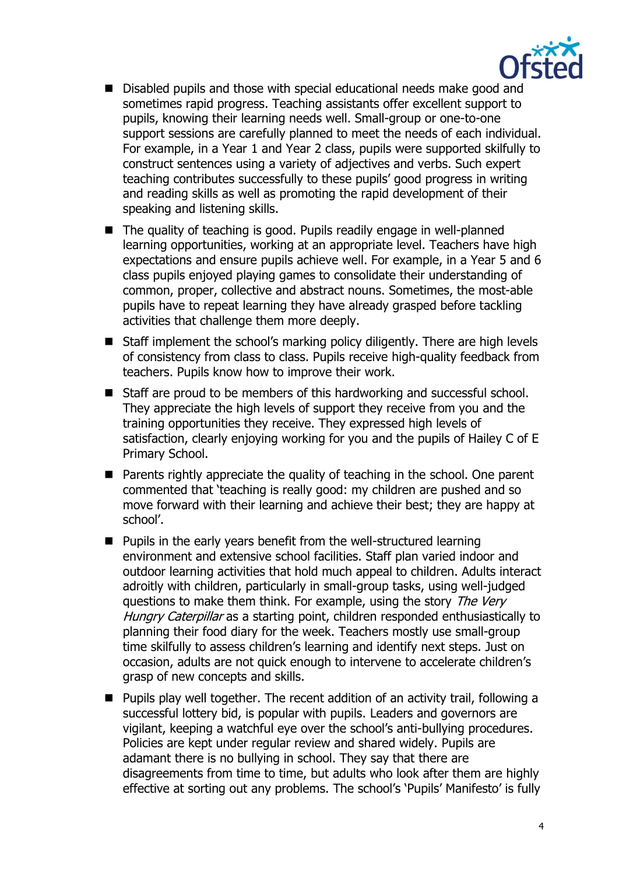

- Disabled pupils and those with special educational needs make good and sometimes rapid progress. Teaching assistants offer excellent support to pupils, knowing their learning needs well. Small-group or one-to-one support sessions are carefully planned to meet the needs of each individual. For example, in a Year 1 and Year 2 class, pupils were supported skilfully to construct sentences using a variety of adjectives and verbs. Such expert teaching contributes successfully to these pupils' good progress in writing and reading skills as well as promoting the rapid development of their speaking and listening skills.
- The quality of teaching is good. Pupils readily engage in well-planned learning opportunities, working at an appropriate level. Teachers have high expectations and ensure pupils achieve well. For example, in a Year 5 and 6 class pupils enjoyed playing games to consolidate their understanding of common, proper, collective and abstract nouns. Sometimes, the most-able pupils have to repeat learning they have already grasped before tackling activities that challenge them more deeply.
- Staff implement the school's marking policy diligently. There are high levels of consistency from class to class. Pupils receive high-quality feedback from teachers. Pupils know how to improve their work.
- Staff are proud to be members of this hardworking and successful school. They appreciate the high levels of support they receive from you and the training opportunities they receive. They expressed high levels of satisfaction, clearly enjoying working for you and the pupils of Hailey C of E Primary School.
- **Parents rightly appreciate the quality of teaching in the school. One parent** commented that 'teaching is really good: my children are pushed and so move forward with their learning and achieve their best; they are happy at school'.
- $\blacksquare$  Pupils in the early years benefit from the well-structured learning environment and extensive school facilities. Staff plan varied indoor and outdoor learning activities that hold much appeal to children. Adults interact adroitly with children, particularly in small-group tasks, using well-judged questions to make them think. For example, using the story The Very Hungry Caterpillar as a starting point, children responded enthusiastically to planning their food diary for the week. Teachers mostly use small-group time skilfully to assess children's learning and identify next steps. Just on occasion, adults are not quick enough to intervene to accelerate children's grasp of new concepts and skills.
- Pupils play well together. The recent addition of an activity trail, following a successful lottery bid, is popular with pupils. Leaders and governors are vigilant, keeping a watchful eye over the school's anti-bullying procedures. Policies are kept under regular review and shared widely. Pupils are adamant there is no bullying in school. They say that there are disagreements from time to time, but adults who look after them are highly effective at sorting out any problems. The school's 'Pupils' Manifesto' is fully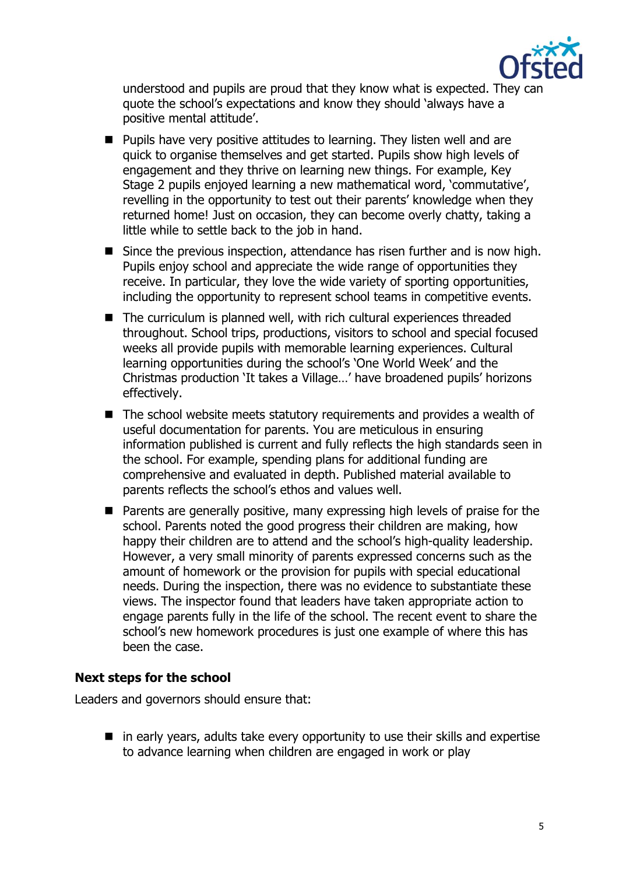

understood and pupils are proud that they know what is expected. They can quote the school's expectations and know they should 'always have a positive mental attitude'.

- **Pupils have very positive attitudes to learning. They listen well and are** quick to organise themselves and get started. Pupils show high levels of engagement and they thrive on learning new things. For example, Key Stage 2 pupils enjoyed learning a new mathematical word, 'commutative', revelling in the opportunity to test out their parents' knowledge when they returned home! Just on occasion, they can become overly chatty, taking a little while to settle back to the job in hand.
- Since the previous inspection, attendance has risen further and is now high. Pupils enjoy school and appreciate the wide range of opportunities they receive. In particular, they love the wide variety of sporting opportunities, including the opportunity to represent school teams in competitive events.
- The curriculum is planned well, with rich cultural experiences threaded throughout. School trips, productions, visitors to school and special focused weeks all provide pupils with memorable learning experiences. Cultural learning opportunities during the school's 'One World Week' and the Christmas production 'It takes a Village…' have broadened pupils' horizons effectively.
- The school website meets statutory requirements and provides a wealth of useful documentation for parents. You are meticulous in ensuring information published is current and fully reflects the high standards seen in the school. For example, spending plans for additional funding are comprehensive and evaluated in depth. Published material available to parents reflects the school's ethos and values well.
- **Parents are generally positive, many expressing high levels of praise for the** school. Parents noted the good progress their children are making, how happy their children are to attend and the school's high-quality leadership. However, a very small minority of parents expressed concerns such as the amount of homework or the provision for pupils with special educational needs. During the inspection, there was no evidence to substantiate these views. The inspector found that leaders have taken appropriate action to engage parents fully in the life of the school. The recent event to share the school's new homework procedures is just one example of where this has been the case.

#### **Next steps for the school**

Leaders and governors should ensure that:

 $\blacksquare$  in early years, adults take every opportunity to use their skills and expertise to advance learning when children are engaged in work or play